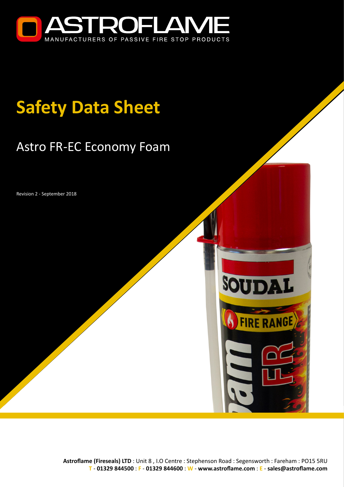

# **Safety Data Sheet**

## Astro FR-EC Economy Foam

Revision 2 - September 2018



SOUDAL

**FIRE RANGE**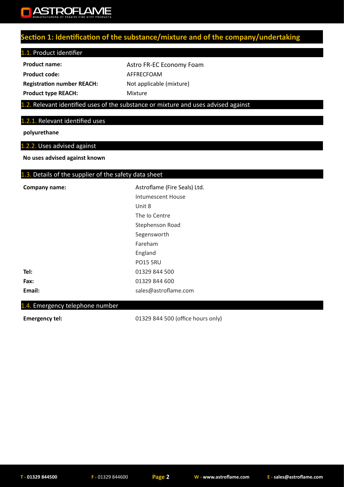

## **Section 1: Identification of the substance/mixture and of the company/undertaking**

#### 1.1. Product identifier

**Registration number REACH:** Not applicable (mixture)

**Product name:** Astro FR-EC Economy Foam Product code: **AFFRECFOAM Product type REACH:** Mixture

#### 1.2. Relevant identified uses of the substance or mixture and uses advised against

#### 1.2.1. Relevant identified uses

**polyurethane**

#### 1.2.2. Uses advised against

**No uses advised against known**

#### 1.3. Details of the supplier of the safety data sheet

| Company name: | Astroflame (Fire Seals) Ltd. |
|---------------|------------------------------|
|               | Intumescent House            |
|               | Unit 8                       |
|               | The Io Centre                |
|               | Stephenson Road              |
|               | Segensworth                  |
|               | Fareham                      |
|               | England                      |
|               | <b>PO15 5RU</b>              |
| Tel:          | 01329 844 500                |
| Fax:          | 01329 844 600                |
| Email:        | sales@astroflame.com         |

#### 1.4. Emergency telephone number

**Emergency tel:** 01329 844 500 (office hours only)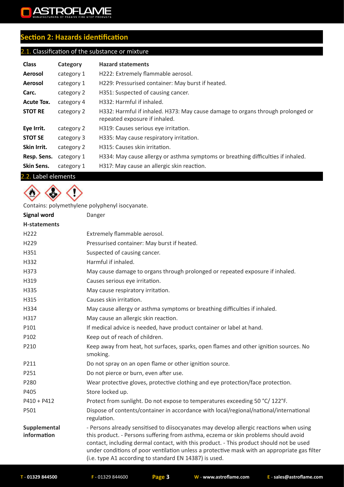## ASTROFLAME  $\blacksquare$

## **Section 2: Hazards identification**

## 2.1. Classification of the substance or mixture

| <b>Class</b>      | Category   | <b>Hazard statements</b>                                                                                         |
|-------------------|------------|------------------------------------------------------------------------------------------------------------------|
| Aerosol           | category 1 | H222: Extremely flammable aerosol.                                                                               |
| Aerosol           | category 1 | H229: Pressurised container: May burst if heated.                                                                |
| Carc.             | category 2 | H351: Suspected of causing cancer.                                                                               |
| Acute Tox.        | category 4 | H332: Harmful if inhaled.                                                                                        |
| <b>STOT RE</b>    | category 2 | H332: Harmful if inhaled. H373: May cause damage to organs through prolonged or<br>repeated exposure if inhaled. |
| Eye Irrit.        | category 2 | H319: Causes serious eye irritation.                                                                             |
| <b>STOT SE</b>    | category 3 | H335: May cause respiratory irritation.                                                                          |
| Skin Irrit.       | category 2 | H315: Causes skin irritation.                                                                                    |
| Resp. Sens.       | category 1 | H334: May cause allergy or asthma symptoms or breathing difficulties if inhaled.                                 |
| <b>Skin Sens.</b> | category 1 | H317: May cause an allergic skin reaction.                                                                       |

#### 2.2. Label elements



Contains: polymethylene polyphenyl isocyanate.

| <b>Signal word</b>          | Danger                                                                                                                                                                                                                                                                                                                                                                                                                              |
|-----------------------------|-------------------------------------------------------------------------------------------------------------------------------------------------------------------------------------------------------------------------------------------------------------------------------------------------------------------------------------------------------------------------------------------------------------------------------------|
| H-statements                |                                                                                                                                                                                                                                                                                                                                                                                                                                     |
| H <sub>222</sub>            | Extremely flammable aerosol.                                                                                                                                                                                                                                                                                                                                                                                                        |
| H229                        | Pressurised container: May burst if heated.                                                                                                                                                                                                                                                                                                                                                                                         |
| H351                        | Suspected of causing cancer.                                                                                                                                                                                                                                                                                                                                                                                                        |
| H332                        | Harmful if inhaled.                                                                                                                                                                                                                                                                                                                                                                                                                 |
| H373                        | May cause damage to organs through prolonged or repeated exposure if inhaled.                                                                                                                                                                                                                                                                                                                                                       |
| H319                        | Causes serious eye irritation.                                                                                                                                                                                                                                                                                                                                                                                                      |
| H335                        | May cause respiratory irritation.                                                                                                                                                                                                                                                                                                                                                                                                   |
| H315                        | Causes skin irritation.                                                                                                                                                                                                                                                                                                                                                                                                             |
| H334                        | May cause allergy or asthma symptoms or breathing difficulties if inhaled.                                                                                                                                                                                                                                                                                                                                                          |
| H317                        | May cause an allergic skin reaction.                                                                                                                                                                                                                                                                                                                                                                                                |
| P101                        | If medical advice is needed, have product container or label at hand.                                                                                                                                                                                                                                                                                                                                                               |
| P102                        | Keep out of reach of children.                                                                                                                                                                                                                                                                                                                                                                                                      |
| P210                        | Keep away from heat, hot surfaces, sparks, open flames and other ignition sources. No<br>smoking.                                                                                                                                                                                                                                                                                                                                   |
| P211                        | Do not spray on an open flame or other ignition source.                                                                                                                                                                                                                                                                                                                                                                             |
| P251                        | Do not pierce or burn, even after use.                                                                                                                                                                                                                                                                                                                                                                                              |
| P280                        | Wear protective gloves, protective clothing and eye protection/face protection.                                                                                                                                                                                                                                                                                                                                                     |
| P405                        | Store locked up.                                                                                                                                                                                                                                                                                                                                                                                                                    |
| $P410 + P412$               | Protect from sunlight. Do not expose to temperatures exceeding 50 °C/ 122°F.                                                                                                                                                                                                                                                                                                                                                        |
| P501                        | Dispose of contents/container in accordance with local/regional/national/international<br>regulation.                                                                                                                                                                                                                                                                                                                               |
| Supplemental<br>information | - Persons already sensitised to diisocyanates may develop allergic reactions when using<br>this product. - Persons suffering from asthma, eczema or skin problems should avoid<br>contact, including dermal contact, with this product. - This product should not be used<br>under conditions of poor ventilation unless a protective mask with an appropriate gas filter<br>(i.e. type A1 according to standard EN 14387) is used. |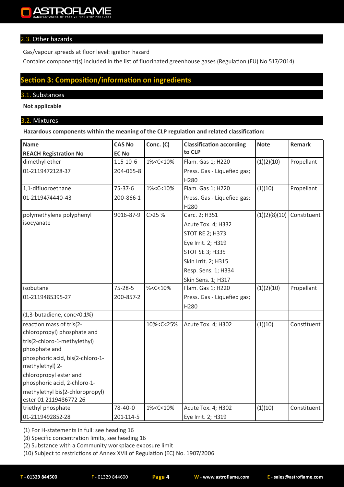#### 2.3. Other hazards

Gas/vapour spreads at floor level: ignition hazard

Contains component(s) included in the list of fluorinated greenhouse gases (Regulation (EU) No 517/2014)

## **Section 3: Composition/information on ingredients**

#### 3.1. Substances

**Not applicable**

#### 3.2. Mixtures

**Hazardous components within the meaning of the CLP regulation and related classification:**

| <b>Name</b>                                               | <b>CAS No</b>  | Conc. (C)                                                                                  | <b>Classification according</b> | <b>Note</b>   | Remark      |
|-----------------------------------------------------------|----------------|--------------------------------------------------------------------------------------------|---------------------------------|---------------|-------------|
| <b>REACH Registration No</b>                              | <b>EC No</b>   |                                                                                            | to CLP                          |               |             |
| dimethyl ether                                            | $115 - 10 - 6$ | 1% <c<10%< td=""><td>Flam. Gas 1; H220</td><td>(1)(2)(10)</td><td>Propellant</td></c<10%<> | Flam. Gas 1; H220               | (1)(2)(10)    | Propellant  |
| 01-2119472128-37                                          | 204-065-8      |                                                                                            | Press. Gas - Liquefied gas;     |               |             |
|                                                           |                |                                                                                            | H280                            |               |             |
| 1,1-difluoroethane                                        | $75 - 37 - 6$  | 1% <c<10%< td=""><td>Flam. Gas 1; H220</td><td>(1)(10)</td><td>Propellant</td></c<10%<>    | Flam. Gas 1; H220               | (1)(10)       | Propellant  |
| 01-2119474440-43                                          | 200-866-1      |                                                                                            | Press. Gas - Liquefied gas;     |               |             |
|                                                           |                |                                                                                            | H280                            |               |             |
| polymethylene polyphenyl                                  | 9016-87-9      | C > 25%                                                                                    | Carc. 2; H351                   | (1)(2)(8)(10) | Constituent |
| isocyanate                                                |                |                                                                                            | Acute Tox. 4; H332              |               |             |
|                                                           |                |                                                                                            | <b>STOT RE 2; H373</b>          |               |             |
|                                                           |                |                                                                                            | Eye Irrit. 2; H319              |               |             |
|                                                           |                |                                                                                            | <b>STOT SE 3; H335</b>          |               |             |
|                                                           |                |                                                                                            | Skin Irrit. 2; H315             |               |             |
|                                                           |                |                                                                                            | Resp. Sens. 1; H334             |               |             |
|                                                           |                |                                                                                            | Skin Sens. 1; H317              |               |             |
| isobutane                                                 | $75 - 28 - 5$  | %< $C$ < $10%$                                                                             | Flam. Gas 1; H220               | (1)(2)(10)    | Propellant  |
| 01-2119485395-27                                          | 200-857-2      |                                                                                            | Press. Gas - Liquefied gas;     |               |             |
|                                                           |                |                                                                                            | H280                            |               |             |
| (1,3-butadiene, conc<0.1%)                                |                |                                                                                            |                                 |               |             |
| reaction mass of tris(2-<br>chloropropyl) phosphate and   |                | 10% <c<25%< td=""><td>Acute Tox. 4; H302</td><td>(1)(10)</td><td>Constituent</td></c<25%<> | Acute Tox. 4; H302              | (1)(10)       | Constituent |
| tris(2-chloro-1-methylethyl)<br>phosphate and             |                |                                                                                            |                                 |               |             |
| phosphoric acid, bis(2-chloro-1-<br>methylethyl) 2-       |                |                                                                                            |                                 |               |             |
| chloropropyl ester and<br>phosphoric acid, 2-chloro-1-    |                |                                                                                            |                                 |               |             |
| methylethyl bis(2-chloropropyl)<br>ester 01-2119486772-26 |                |                                                                                            |                                 |               |             |
| triethyl phosphate                                        | 78-40-0        | 1% <c<10%< td=""><td>Acute Tox. 4; H302</td><td>(1)(10)</td><td>Constituent</td></c<10%<>  | Acute Tox. 4; H302              | (1)(10)       | Constituent |
| 01-2119492852-28                                          | 201-114-5      |                                                                                            | Eye Irrit. 2; H319              |               |             |

(1) For H-statements in full: see heading 16

(8) Specific concentration limits, see heading 16

(2) Substance with a Community workplace exposure limit

(10) Subject to restrictions of Annex XVII of Regulation (EC) No. 1907/2006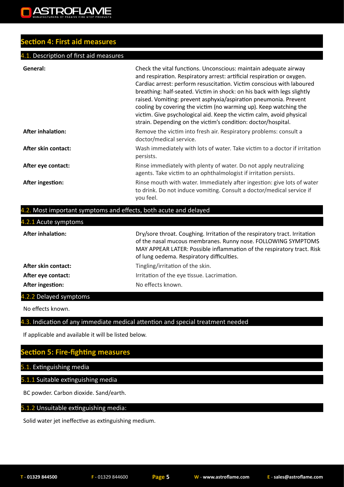## **Section 4: First aid measures**

#### **4.1. Description of first aid measures**

| General:                 | Check the vital functions. Unconscious: maintain adequate airway<br>and respiration. Respiratory arrest: artificial respiration or oxygen.<br>Cardiac arrest: perform resuscitation. Victim conscious with laboured<br>breathing: half-seated. Victim in shock: on his back with legs slightly<br>raised. Vomiting: prevent asphyxia/aspiration pneumonia. Prevent<br>cooling by covering the victim (no warming up). Keep watching the<br>victim. Give psychological aid. Keep the victim calm, avoid physical<br>strain. Depending on the victim's condition: doctor/hospital. |
|--------------------------|----------------------------------------------------------------------------------------------------------------------------------------------------------------------------------------------------------------------------------------------------------------------------------------------------------------------------------------------------------------------------------------------------------------------------------------------------------------------------------------------------------------------------------------------------------------------------------|
| <b>After inhalation:</b> | Remove the victim into fresh air. Respiratory problems: consult a<br>doctor/medical service.                                                                                                                                                                                                                                                                                                                                                                                                                                                                                     |
| After skin contact:      | Wash immediately with lots of water. Take victim to a doctor if irritation<br>persists.                                                                                                                                                                                                                                                                                                                                                                                                                                                                                          |
| After eye contact:       | Rinse immediately with plenty of water. Do not apply neutralizing<br>agents. Take victim to an ophthalmologist if irritation persists.                                                                                                                                                                                                                                                                                                                                                                                                                                           |
| After ingestion:         | Rinse mouth with water. Immediately after ingestion: give lots of water<br>to drink. Do not induce vomiting. Consult a doctor/medical service if<br>you feel.                                                                                                                                                                                                                                                                                                                                                                                                                    |

#### .2. Most important symptoms and effects, both acute and delayed

| 4.2.1 Acute symptoms     |                                                                                                                                                                                                                                                                    |
|--------------------------|--------------------------------------------------------------------------------------------------------------------------------------------------------------------------------------------------------------------------------------------------------------------|
| <b>After inhalation:</b> | Dry/sore throat. Coughing. Irritation of the respiratory tract. Irritation<br>of the nasal mucous membranes. Runny nose. FOLLOWING SYMPTOMS<br>MAY APPEAR LATER: Possible inflammation of the respiratory tract. Risk<br>of lung oedema. Respiratory difficulties. |
| After skin contact:      | Tingling/irritation of the skin.                                                                                                                                                                                                                                   |
| After eye contact:       | Irritation of the eye tissue. Lacrimation.                                                                                                                                                                                                                         |
| After ingestion:         | No effects known.                                                                                                                                                                                                                                                  |

4.2.2 Delayed symptoms

No effects known.

4.3. Indication of any immediate medical attention and special treatment needed

If applicable and available it will be listed below.

## **Section 5: Fire-fighting measures**

5.1. Extinguishing media

5.1.1 Suitable extinguishing media

BC powder. Carbon dioxide. Sand/earth.

#### 5.1.2 Unsuitable extinguishing media:

Solid water jet ineffective as extinguishing medium.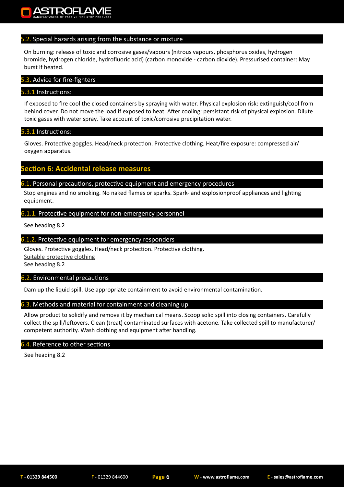#### 5.2. Special hazards arising from the substance or mixture

On burning: release of toxic and corrosive gases/vapours (nitrous vapours, phosphorus oxides, hydrogen bromide, hydrogen chloride, hydrofluoric acid) (carbon monoxide - carbon dioxide). Pressurised container: May burst if heated.

#### 5.3. Advice for fire-fighters

#### 5.3.1 Instructions:

If exposed to fire cool the closed containers by spraying with water. Physical explosion risk: extinguish/cool from behind cover. Do not move the load if exposed to heat. After cooling: persistant risk of physical explosion. Dilute toxic gases with water spray. Take account of toxic/corrosive precipitation water.

#### 5.3.1 Instructions:

Gloves. Protective goggles. Head/neck protection. Protective clothing. Heat/fire exposure: compressed air/ oxygen apparatus.

### **Ction 6: Accidental release measures**

#### 6.1. Personal precautions, protective equipment and emergency procedures

Stop engines and no smoking. No naked flames or sparks. Spark- and explosionproof appliances and lighting equipment.

#### 6.1.1. Protective equipment for non-emergency personnel

See heading 8.2

#### 6.1.2. Protective equipment for emergency responders

Gloves. Protective goggles. Head/neck protection. Protective clothing. Suitable protective clothing See heading 8.2

#### 6.2. Environmental precautions

Dam up the liquid spill. Use appropriate containment to avoid environmental contamination.

#### 6.3. Methods and material for containment and cleaning up

Allow product to solidify and remove it by mechanical means. Scoop solid spill into closing containers. Carefully collect the spill/leftovers. Clean (treat) contaminated surfaces with acetone. Take collected spill to manufacturer/ competent authority. Wash clothing and equipment after handling.

#### 6.4. Reference to other sections

See heading 8.2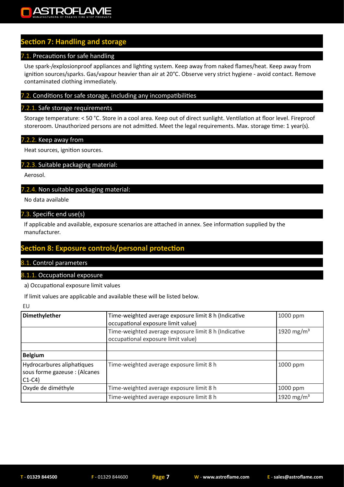## **Section 7: Handling and storage**

#### 7.1. Precautions for safe handling

Use spark-/explosionproof appliances and lighting system. Keep away from naked flames/heat. Keep away from ignition sources/sparks. Gas/vapour heavier than air at 20°C. Observe very strict hygiene - avoid contact. Remove contaminated clothing immediately.

#### 7.2. Conditions for safe storage, including any incompatibilities

#### 7.2.1. Safe storage requirements

Storage temperature: < 50 °C. Store in a cool area. Keep out of direct sunlight. Ventilation at floor level. Fireproof storeroom. Unauthorized persons are not admitted. Meet the legal requirements. Max. storage time: 1 year(s).

#### 7.2.2. Keep away from

Heat sources, ignition sources.

#### 7.2.3. Suitable packaging material:

Aerosol.

#### 7.2.4. Non suitable packaging material:

No data available

#### 7.3. Specific end use(s)

If applicable and available, exposure scenarios are attached in annex. See information supplied by the manufacturer.

## **Section 8: Exposure controls/personal protection**

#### 8.1. Control parameters

#### 8.1.1. Occupational exposure

a) Occupational exposure limit values

If limit values are applicable and available these will be listed below.

EU

| Dimethylether                                                          | Time-weighted average exposure limit 8 h (Indicative<br>occupational exposure limit value) | 1000 ppm               |
|------------------------------------------------------------------------|--------------------------------------------------------------------------------------------|------------------------|
|                                                                        | Time-weighted average exposure limit 8 h (Indicative<br>occupational exposure limit value) | 1920 mg/m <sup>3</sup> |
|                                                                        |                                                                                            |                        |
| <b>Belgium</b>                                                         |                                                                                            |                        |
| Hydrocarbures aliphatiques<br>sous forme gazeuse : (Alcanes<br>$C1-C4$ | Time-weighted average exposure limit 8 h                                                   | 1000 ppm               |
| Oxyde de diméthyle                                                     | Time-weighted average exposure limit 8 h                                                   | 1000 ppm               |
|                                                                        | Time-weighted average exposure limit 8 h                                                   | 1920 mg/m <sup>3</sup> |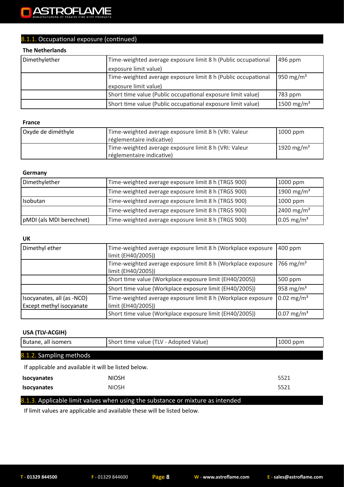#### **ASTROFLAME**  $\blacksquare$

## 8.1.1. Occupational exposure (continued)

#### **The Netherlands**

| Dimethylether | Time-weighted average exposure limit 8 h (Public occupational | $496$ ppm              |
|---------------|---------------------------------------------------------------|------------------------|
|               | exposure limit value)                                         |                        |
|               | Time-weighted average exposure limit 8 h (Public occupational | 950 mg/m <sup>3</sup>  |
|               | exposure limit value)                                         |                        |
|               | Short time value (Public occupational exposure limit value)   | 783 ppm                |
|               | Short time value (Public occupational exposure limit value)   | 1500 mg/m <sup>3</sup> |

#### **France**

| Oxyde de diméthyle | Time-weighted average exposure limit 8 h (VRI: Valeur<br>réglementaire indicative) | $1000$ ppm             |
|--------------------|------------------------------------------------------------------------------------|------------------------|
|                    | Time-weighted average exposure limit 8 h (VRI: Valeur<br>réglementaire indicative) | 1920 mg/m <sup>3</sup> |

#### **Germany**

| Dimethylether            | Time-weighted average exposure limit 8 h (TRGS 900) | 1000 ppm                 |
|--------------------------|-----------------------------------------------------|--------------------------|
|                          | Time-weighted average exposure limit 8 h (TRGS 900) | 1900 mg/m <sup>3</sup>   |
| Isobutan                 | Time-weighted average exposure limit 8 h (TRGS 900) | 1000 ppm                 |
|                          | Time-weighted average exposure limit 8 h (TRGS 900) | 2400 mg/m <sup>3</sup>   |
| pMDI (als MDI berechnet) | Time-weighted average exposure limit 8 h (TRGS 900) | $0.05$ mg/m <sup>3</sup> |

#### **UK**

| Dimethyl ether                                                | Time-weighted average exposure limit 8 h (Workplace exposure<br>limit (EH40/2005)) | 400 ppm                  |
|---------------------------------------------------------------|------------------------------------------------------------------------------------|--------------------------|
|                                                               | Time-weighted average exposure limit 8 h (Workplace exposure<br>limit (EH40/2005)) | 766 mg/m <sup>3</sup>    |
|                                                               | Short time value (Workplace exposure limit (EH40/2005))                            | 500 ppm                  |
|                                                               | Short time value (Workplace exposure limit (EH40/2005))                            | 958 mg/m <sup>3</sup>    |
| Isocyanates, all (as -NCO)<br><b>Except methyl isocyanate</b> | Time-weighted average exposure limit 8 h (Workplace exposure<br>limit (EH40/2005)) | $0.02 \text{ mg/m}^3$    |
|                                                               | Short time value (Workplace exposure limit (EH40/2005))                            | $0.07 \,\mathrm{mg/m^3}$ |

#### **USA (TLV-ACGIH)**

| Butane, all isomers                                  | Short time value (TLV - Adopted Value)                                         | $1000$ ppm |
|------------------------------------------------------|--------------------------------------------------------------------------------|------------|
| 8.1.2. Sampling methods                              |                                                                                |            |
| If applicable and available it will be listed below. |                                                                                |            |
| <b>Isocyanates</b>                                   | <b>NIOSH</b>                                                                   | 5521       |
| <b>Isocyanates</b>                                   | <b>NIOSH</b>                                                                   | 5521       |
|                                                      | 8.1.3. Applicable limit values when using the substance or mixture as intended |            |

If limit values are applicable and available these will be listed below.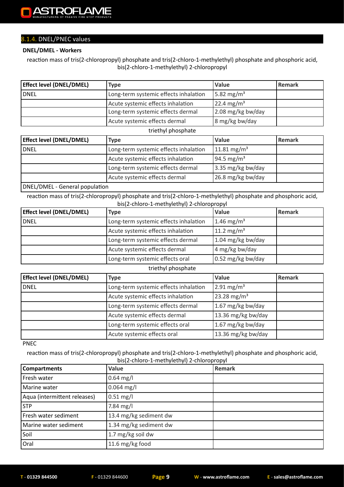## 8.1.4. DNEL/PNEC values

#### **DNEL/DMEL - Workers**

reaction mass of tris(2-chloropropyl) phosphate and tris(2-chloro-1-methylethyl) phosphate and phosphoric acid, bis(2-chloro-1-methylethyl) 2-chloropropyl

| <b>Effect level (DNEL/DMEL)</b> | <b>Type</b>                           | <b>Value</b>          | <b>Remark</b> |
|---------------------------------|---------------------------------------|-----------------------|---------------|
| l DNEL                          | Long-term systemic effects inhalation | $5.82 \text{ mg/m}^3$ |               |
|                                 | Acute systemic effects inhalation     | $22.4 \text{ mg/m}^3$ |               |
|                                 | Long-term systemic effects dermal     | $2.08$ mg/kg bw/day   |               |
|                                 | Acute systemic effects dermal         | 8 mg/kg bw/day        |               |

#### triethyl phosphate

| <b>Effect level (DNEL/DMEL)</b> | <b>Type</b>                           | <b>Value</b>            | Remark |
|---------------------------------|---------------------------------------|-------------------------|--------|
| <b>DNEL</b>                     | Long-term systemic effects inhalation | 11.81 mg/m <sup>3</sup> |        |
|                                 | Acute systemic effects inhalation     | 94.5 mg/m <sup>3</sup>  |        |
|                                 | Long-term systemic effects dermal     | 3.35 mg/kg bw/day       |        |
|                                 | Acute systemic effects dermal         | 26.8 mg/kg bw/day       |        |
| $NITL/OMI L$ Conoral population |                                       |                         |        |

#### DNEL/DMEL - General population

reaction mass of tris(2-chloropropyl) phosphate and tris(2-chloro-1-methylethyl) phosphate and phosphoric acid, bis(2-chloro-1-methylethyl) 2-chloropropyl

| <b>Effect level (DNEL/DMEL)</b> | <b>Type</b>                                                     | <b>Value</b>           | Remark |
|---------------------------------|-----------------------------------------------------------------|------------------------|--------|
| <b>DNEL</b>                     | 1.46 mg/m <sup>3</sup><br>Long-term systemic effects inhalation |                        |        |
|                                 | Acute systemic effects inhalation                               | 11.2 mg/m <sup>3</sup> |        |
|                                 | Long-term systemic effects dermal                               | 1.04 mg/kg bw/day      |        |
|                                 | Acute systemic effects dermal                                   | 4 mg/kg bw/day         |        |
|                                 | Long-term systemic effects oral                                 | $0.52$ mg/kg bw/day    |        |

#### triethyl phosphate

| <b>Effect level (DNEL/DMEL)</b> | <b>Type</b>                           | Value                    | Remark |
|---------------------------------|---------------------------------------|--------------------------|--------|
| <b>DNEL</b>                     | Long-term systemic effects inhalation | $2.91 \,\mathrm{mg/m^3}$ |        |
|                                 | Acute systemic effects inhalation     | 23.28 mg/m <sup>3</sup>  |        |
|                                 | Long-term systemic effects dermal     | 1.67 mg/kg bw/day        |        |
|                                 | Acute systemic effects dermal         | 13.36 mg/kg bw/day       |        |
|                                 | Long-term systemic effects oral       | 1.67 mg/kg bw/day        |        |
|                                 | Acute systemic effects oral           | 13.36 mg/kg bw/day       |        |

PNEC

reaction mass of tris(2-chloropropyl) phosphate and tris(2-chloro-1-methylethyl) phosphate and phosphoric acid, bis(2-chloro-1-methylethyl) 2-chloropropyl

| <b>Compartments</b>          | Value                  | - 1 - 1 - 1<br>Remark |
|------------------------------|------------------------|-----------------------|
| Fresh water                  | $0.64$ mg/l            |                       |
| Marine water                 | $0.064$ mg/l           |                       |
| Aqua (intermittent releases) | $0.51 \text{ mg/l}$    |                       |
| <b>STP</b>                   | $7.84$ mg/l            |                       |
| Fresh water sediment         | 13.4 mg/kg sediment dw |                       |
| Marine water sediment        | 1.34 mg/kg sediment dw |                       |
| Soil                         | 1.7 mg/kg soil dw      |                       |
| Oral                         | 11.6 mg/kg food        |                       |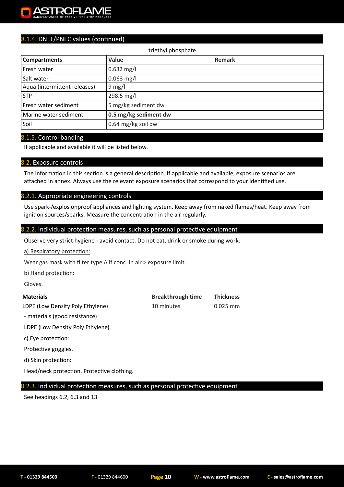#### ZТ ae i

### 8.1.4. DNEL/PNEC values (continued)

#### triethyl phosphate

| <b>Compartments</b>          | Value                 | Remark |
|------------------------------|-----------------------|--------|
| Fresh water                  | $0.632$ mg/l          |        |
| Salt water                   | $0.063$ mg/l          |        |
| Aqua (intermittent releases) | $9$ mg/l              |        |
| <b>STP</b>                   | 298.5 mg/l            |        |
| Fresh water sediment         | 5 mg/kg sediment dw   |        |
| Marine water sediment        | 0.5 mg/kg sediment dw |        |
| Soil                         | 0.64 mg/kg soil dw    |        |

#### 8.1.5. Control banding

If applicable and available it will be listed below.

#### 8.2. Exposure controls

The information in this section is a general description. If applicable and available, exposure scenarios are attached in annex. Always use the relevant exposure scenarios that correspond to your identified use.

#### 8.2.1. Appropriate engineering controls

Use spark-/explosionproof appliances and lighting system. Keep away from naked flames/heat. Keep away from ignition sources/sparks. Measure the concentration in the air regularly.

#### 8.2.2. Individual protection measures, such as personal protective equipment

Observe very strict hygiene - avoid contact. Do not eat, drink or smoke during work.

a) Respiratory protection:

Wear gas mask with filter type A if conc. in air > exposure limit.

b) Hand protection:

Gloves.

#### **Materials Breakthrough time Thickness**

LDPE (Low Density Poly Ethylene) 10 minutes 0.025 mm

- materials (good resistance)

LDPE (Low Density Poly Ethylene).

c) Eye protection:

Protective goggles.

d) Skin protection:

Head/neck protection. Protective clothing.

#### 8.2.3. Individual protection measures, such as personal protective equipment

See headings 6.2, 6.3 and 13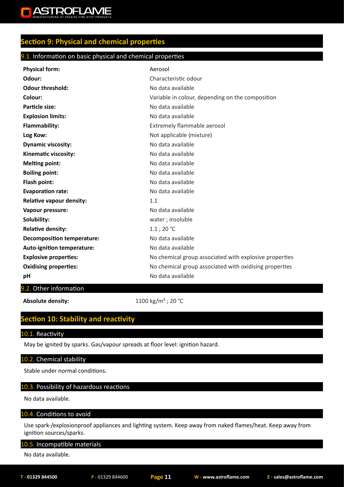

## **Section 9: Physical and chemical properties**

#### 9.1. Information on basic physical and chemical properties

| <b>Physical form:</b>             | Aerosol                                                |
|-----------------------------------|--------------------------------------------------------|
| Odour:                            | Characteristic odour                                   |
| <b>Odour threshold:</b>           | No data available                                      |
| Colour:                           | Variable in colour, depending on the composition       |
| <b>Particle size:</b>             | No data available                                      |
| <b>Explosion limits:</b>          | No data available                                      |
| Flammability:                     | Extremely flammable aerosol                            |
| Log Kow:                          | Not applicable (mixture)                               |
| <b>Dynamic viscosity:</b>         | No data available                                      |
| Kinematic viscosity:              | No data available                                      |
| <b>Melting point:</b>             | No data available                                      |
| <b>Boiling point:</b>             | No data available                                      |
| Flash point:                      | No data available                                      |
| <b>Evaporation rate:</b>          | No data available                                      |
| <b>Relative vapour density:</b>   | 1.1                                                    |
| Vapour pressure:                  | No data available                                      |
| Solubility:                       | water; insoluble                                       |
| <b>Relative density:</b>          | $1.1$ ; 20 $^{\circ}$ C                                |
| <b>Decomposition temperature:</b> | No data available                                      |
| Auto-ignition temperature:        | No data available                                      |
| <b>Explosive properties:</b>      | No chemical group associated with explosive properties |
| <b>Oxidising properties:</b>      | No chemical group associated with oxidising properties |
| рH                                | No data available                                      |

#### 9.2. Other information

**Absolute density:** 1100 kg/m<sup>3</sup> ; 20 °C

## **Section 10: Stability and reactivity**

#### 10.1. Reactivity

May be ignited by sparks. Gas/vapour spreads at floor level: ignition hazard.

#### 10.2. Chemical stability

Stable under normal conditions.

#### 10.3. Possibility of hazardous reactions

No data available.

#### 10.4. Conditions to avoid

Use spark-/explosionproof appliances and lighting system. Keep away from naked flames/heat. Keep away from ignition sources/sparks.

#### 10.5. Incompatible materials

No data available.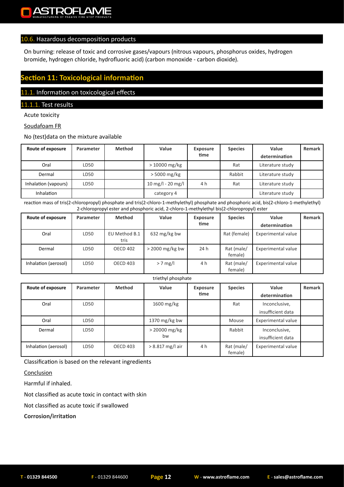#### 10.6. Hazardous decomposition products

On burning: release of toxic and corrosive gases/vapours (nitrous vapours, phosphorus oxides, hydrogen bromide, hydrogen chloride, hydrofluoric acid) (carbon monoxide - carbon dioxide).

## **Section 11: Toxicological information**

#### 11.1. Information on toxicological effects

#### 11.1.1. Test results

Acute toxicity

#### Soudafoam FR

No (test)data on the mixture available

| Route of exposure    | Parameter | <b>Method</b> | Value             | <b>Exposure</b> | <b>Species</b> | Value            | Remark |
|----------------------|-----------|---------------|-------------------|-----------------|----------------|------------------|--------|
|                      |           |               |                   | time            |                | determination    |        |
| Oral                 | LD50      |               | $>10000$ mg/kg    |                 | Rat            | Literature study |        |
| Dermal               | LD50      |               | $>$ 5000 mg/kg    |                 | Rabbit         | Literature study |        |
| Inhalation (vapours) | LD50      |               | 10 mg/l - 20 mg/l | 4 h             | Rat            | Literature study |        |
| <b>Inhalation</b>    |           |               | category 4        |                 |                | Literature study |        |

reaction mass of tris(2-chloropropyl) phosphate and tris(2-chloro-1-methylethyl) phosphate and phosphoric acid, bis(2-chloro-1-methylethyl) 2-chloropropyl ester and phosphoric acid, 2-chloro-1-methylethyl bis(2-chloropropyl) ester

| Route of exposure    | Parameter | <b>Method</b>         | Value             | <b>Exposure</b> | <b>Species</b>        | Value              | Remark |
|----------------------|-----------|-----------------------|-------------------|-----------------|-----------------------|--------------------|--------|
|                      |           |                       |                   | time            |                       | determination      |        |
| Oral                 | LD50      | EU Method B.1<br>tris | 632 mg/kg bw      |                 | Rat (female)          | Experimental value |        |
| Dermal               | LD50      | <b>OECD 402</b>       | $>$ 2000 mg/kg bw | 24 h            | Rat (male/<br>female) | Experimental value |        |
| Inhalation (aerosol) | LD50      | <b>OECD 403</b>       | $> 7$ mg/l        | 4 h             | Rat (male/<br>female) | Experimental value |        |

|  | triethyl phosphate |
|--|--------------------|
|--|--------------------|

| Route of exposure    | Parameter | <b>Method</b>   | Value                 | <b>Exposure</b><br>time | <b>Species</b>        | Value<br>determination             | Remark |
|----------------------|-----------|-----------------|-----------------------|-------------------------|-----------------------|------------------------------------|--------|
| Oral                 | LD50      |                 | 1600 mg/kg            |                         | Rat                   | Inconclusive,<br>insufficient data |        |
| Oral                 | LD50      |                 | 1370 mg/kg bw         |                         | Mouse                 | Experimental value                 |        |
| Dermal               | LD50      |                 | $> 20000$ mg/kg<br>bw |                         | Rabbit                | Inconclusive,<br>insufficient data |        |
| Inhalation (aerosol) | LD50      | <b>OECD 403</b> | $> 8.817$ mg/l air    | 4 h                     | Rat (male/<br>female) | Experimental value                 |        |

Classification is based on the relevant ingredients

#### Conclusion

Harmful if inhaled.

Not classified as acute toxic in contact with skin

Not classified as acute toxic if swallowed

**Corrosion/irritation**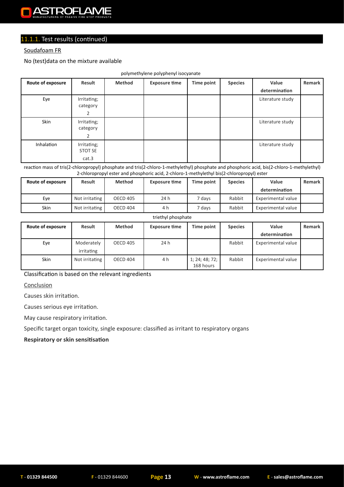#### Soudafoam FR

No (test)data on the mixture available

|                   |                |               | .                    |                   |                |                  |        |
|-------------------|----------------|---------------|----------------------|-------------------|----------------|------------------|--------|
| Route of exposure | Result         | <b>Method</b> | <b>Exposure time</b> | <b>Time point</b> | <b>Species</b> | Value            | Remark |
|                   |                |               |                      |                   |                | determination    |        |
| Eye               | Irritating;    |               |                      |                   |                | Literature study |        |
|                   | category       |               |                      |                   |                |                  |        |
|                   | 2              |               |                      |                   |                |                  |        |
| Skin              | Irritating;    |               |                      |                   |                | Literature study |        |
|                   | category       |               |                      |                   |                |                  |        |
|                   | $\overline{2}$ |               |                      |                   |                |                  |        |
| Inhalation        | Irritating;    |               |                      |                   |                | Literature study |        |
|                   | STOT SE        |               |                      |                   |                |                  |        |
|                   | cat.3          |               |                      |                   |                |                  |        |

polymethylene polyphenyl isocyanate

reaction mass of tris(2-chloropropyl) phosphate and tris(2-chloro-1-methylethyl) phosphate and phosphoric acid, bis(2-chloro-1-methylethyl) 2-chloropropyl ester and phosphoric acid, 2-chloro-1-methylethyl bis(2-chloropropyl) ester

| Route of exposure | <b>Result</b>  | <b>Method</b>   | <b>Exposure time</b> | Time point | <b>Species</b> | Value              | Remark |
|-------------------|----------------|-----------------|----------------------|------------|----------------|--------------------|--------|
|                   |                |                 |                      |            |                | determination      |        |
| Eve               | Not irritating | <b>OECD 405</b> | 24 h                 | 7 davs     | Rabbit         | Experimental value |        |
| Skin              | Not irritating | <b>OECD 404</b> | 4 h                  | 7 days     | Rabbit         | Experimental value |        |

#### triethyl phosphate

| Route of exposure | Result                   | <b>Method</b>   | <b>Exposure time</b> | Time point                  | <b>Species</b> | Value              | Remark |
|-------------------|--------------------------|-----------------|----------------------|-----------------------------|----------------|--------------------|--------|
|                   |                          |                 |                      |                             |                | determination      |        |
| Eye               | Moderately<br>irritating | <b>OECD 405</b> | 24 h                 |                             | Rabbit         | Experimental value |        |
| <b>Skin</b>       | Not irritating           | <b>OECD 404</b> | 4 h                  | 1; 24; 48; 72;<br>168 hours | Rabbit         | Experimental value |        |

Classification is based on the relevant ingredients

**Conclusion** 

Causes skin irritation.

Causes serious eye irritation.

May cause respiratory irritation.

Specific target organ toxicity, single exposure: classified as irritant to respiratory organs

**Respiratory or skin sensitisation**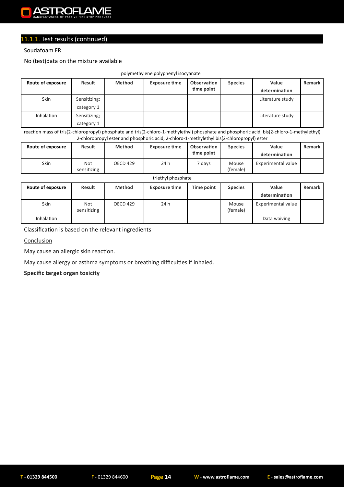#### **POELANJE** Δ

## 11.1.1. Test results (continued)

#### Soudafoam FR

No (test)data on the mixture available

| polymethylene polyphenyl isocyanate |               |               |                      |             |                |                  |               |  |  |  |  |
|-------------------------------------|---------------|---------------|----------------------|-------------|----------------|------------------|---------------|--|--|--|--|
| Route of exposure                   | <b>Result</b> | <b>Method</b> | <b>Exposure time</b> | Observation | <b>Species</b> | Value            | <b>Remark</b> |  |  |  |  |
|                                     |               |               |                      | time point  |                | determination    |               |  |  |  |  |
| <b>Skin</b>                         | Sensitizing;  |               |                      |             |                | Literature study |               |  |  |  |  |
|                                     | category 1    |               |                      |             |                |                  |               |  |  |  |  |
| <b>Inhalation</b>                   | Sensitizing;  |               |                      |             |                | Literature study |               |  |  |  |  |
|                                     | category 1    |               |                      |             |                |                  |               |  |  |  |  |

reaction mass of tris(2-chloropropyl) phosphate and tris(2-chloro-1-methylethyl) phosphate and phosphoric acid, bis(2-chloro-1-methylethyl) 2-chloropropyl ester and phosphoric acid, 2-chloro-1-methylethyl bis(2-chloropropyl) ester

| Route of exposure | <b>Result</b>      | <b>Method</b>   | <b>Exposure time</b> | Observation<br>time point | <b>Species</b>    | Value<br>determination | Remark |
|-------------------|--------------------|-----------------|----------------------|---------------------------|-------------------|------------------------|--------|
| Skin              | Not<br>sensitizing | <b>OECD 429</b> | 24 h                 | 7 days                    | Mouse<br>(female) | Experimental value     |        |

triethyl phosphate

| Route of exposure | Result                    | <b>Method</b> | <b>Exposure time</b> | Time point | <b>Species</b>    | Value              | Remark |
|-------------------|---------------------------|---------------|----------------------|------------|-------------------|--------------------|--------|
|                   |                           |               |                      |            |                   | determination      |        |
| <b>Skin</b>       | <b>Not</b><br>sensitizing | OECD 429      | 24 h                 |            | Mouse<br>(female) | Experimental value |        |
| Inhalation        |                           |               |                      |            |                   | Data waiving       |        |

#### Classification is based on the relevant ingredients

**Conclusion** 

May cause an allergic skin reaction.

May cause allergy or asthma symptoms or breathing difficulties if inhaled.

#### **Specific target organ toxicity**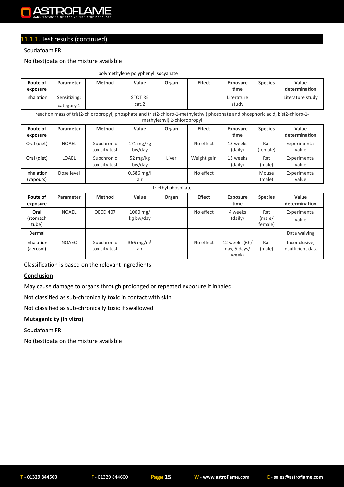

#### Soudafoam FR

#### No (test)data on the mixture available

#### polymethylene polyphenyl isocyanate

| Route of<br>exposure | Parameter                  | <b>Method</b> | Value                   | Organ | <b>Effect</b> | <b>Exposure</b><br>time | <b>Species</b> | Value<br>determination |
|----------------------|----------------------------|---------------|-------------------------|-------|---------------|-------------------------|----------------|------------------------|
| Inhalation           | Sensitizing;<br>category 1 |               | <b>STOT RE</b><br>cat.2 |       |               | Literature<br>study     |                | Literature study       |

reaction mass of tris(2-chloropropyl) phosphate and tris(2-chloro-1-methylethyl) phosphate and phosphoric acid, bis(2-chloro-1 methylethyl) 2-chloropropyl

| Route of<br>exposure           | Parameter    | <b>Method</b>               | Value                         | Organ | <b>Effect</b> | <b>Exposure</b><br>time | <b>Species</b>  | Value<br>determination |
|--------------------------------|--------------|-----------------------------|-------------------------------|-------|---------------|-------------------------|-----------------|------------------------|
| Oral (diet)                    | <b>NOAEL</b> | Subchronic<br>toxicity test | $171 \text{ mg/kg}$<br>bw/day |       | No effect     | 13 weeks<br>(daily)     | Rat<br>(female) | Experimental<br>value  |
| Oral (diet)                    | LOAEL        | Subchronic<br>toxicity test | 52 $mg/kg$<br>bw/day          | Liver | Weight gain   | 13 weeks<br>(daily)     | Rat<br>(male)   | Experimental<br>value  |
| <b>Inhalation</b><br>(vapours) | Dose level   |                             | $0.586$ mg/l<br>air           |       | No effect     |                         | Mouse<br>(male) | Experimental<br>value  |

#### triethyl phosphate

| Route of<br>exposure           | Parameter    | <b>Method</b>               | Value                               | Organ | <b>Effect</b> | <b>Exposure</b><br>time                | <b>Species</b>           | Value<br>determination             |
|--------------------------------|--------------|-----------------------------|-------------------------------------|-------|---------------|----------------------------------------|--------------------------|------------------------------------|
| Oral<br>(stomach<br>tube)      | NOAEL        | <b>OECD 407</b>             | $1000 \,\mathrm{mg}$ /<br>kg bw/day |       | No effect     | 4 weeks<br>(daily)                     | Rat<br>(male/<br>female) | Experimental<br>value              |
| Dermal                         |              |                             |                                     |       |               |                                        |                          | Data waiving                       |
| <b>Inhalation</b><br>(aerosol) | <b>NOAEC</b> | Subchronic<br>toxicity test | 366 mg/m <sup>3</sup><br>air        |       | No effect     | 12 weeks (6h/<br>day, 5 days/<br>week) | Rat<br>(male)            | Inconclusive,<br>insufficient data |

Classification is based on the relevant ingredients

#### **Conclusion**

May cause damage to organs through prolonged or repeated exposure if inhaled.

Not classified as sub-chronically toxic in contact with skin

Not classified as sub-chronically toxic if swallowed

#### **Mutagenicity (in vitro)**

Soudafoam FR

No (test)data on the mixture available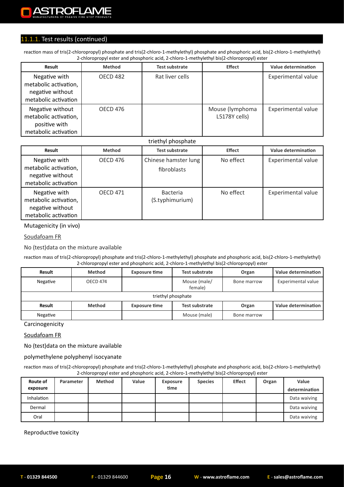reaction mass of tris(2-chloropropyl) phosphate and tris(2-chloro-1-methylethyl) phosphate and phosphoric acid, bis(2-chloro-1-methylethyl) 2-chloropropyl ester and phosphoric acid, 2-chloro-1-methylethyl bis(2-chloropropyl) ester

| <b>Result</b>                                                                      | Method          | <b>Test substrate</b> | <b>Effect</b>                    | Value determination |
|------------------------------------------------------------------------------------|-----------------|-----------------------|----------------------------------|---------------------|
| Negative with<br>metabolic activation,<br>negative without<br>metabolic activation | OECD 482        | Rat liver cells       |                                  | Experimental value  |
| Negative without<br>metabolic activation,<br>positive with<br>metabolic activation | <b>OECD 476</b> |                       | Mouse (lymphoma<br>L5178Y cells) | Experimental value  |

#### triethyl phosphate

| Result                                                                             | Method          | <b>Test substrate</b>               | <b>Effect</b> | Value determination |
|------------------------------------------------------------------------------------|-----------------|-------------------------------------|---------------|---------------------|
| Negative with<br>metabolic activation,<br>negative without<br>metabolic activation | <b>OECD 476</b> | Chinese hamster lung<br>fibroblasts | No effect     | Experimental value  |
| Negative with<br>metabolic activation,<br>negative without<br>metabolic activation | <b>OECD 471</b> | <b>Bacteria</b><br>(S.typhimurium)  | No effect     | Experimental value  |

Mutagenicity (in vivo)

#### Soudafoam FR

No (test)data on the mixture available

reaction mass of tris(2-chloropropyl) phosphate and tris(2-chloro-1-methylethyl) phosphate and phosphoric acid, bis(2-chloro-1-methylethyl) 2-chloropropyl ester and phosphoric acid, 2-chloro-1-methylethyl bis(2-chloropropyl) ester

| Result             | <b>Method</b>   | <b>Exposure time</b> | <b>Test substrate</b>   | Organ       | Value determination |  |  |  |  |  |
|--------------------|-----------------|----------------------|-------------------------|-------------|---------------------|--|--|--|--|--|
| Negative           | <b>OECD 474</b> |                      | Mouse (male/<br>female) | Bone marrow | Experimental value  |  |  |  |  |  |
| triethyl phosphate |                 |                      |                         |             |                     |  |  |  |  |  |
| Result             | <b>Method</b>   | <b>Exposure time</b> | <b>Test substrate</b>   | Organ       | Value determination |  |  |  |  |  |
| Negative           |                 |                      | Mouse (male)            | Bone marrow |                     |  |  |  |  |  |

Carcinogenicity

#### Soudafoam FR

No (test)data on the mixture available

polymethylene polyphenyl isocyanate

reaction mass of tris(2-chloropropyl) phosphate and tris(2-chloro-1-methylethyl) phosphate and phosphoric acid, bis(2-chloro-1-methylethyl) 2-chloropropyl ester and phosphoric acid, 2-chloro-1-methylethyl bis(2-chloropropyl) ester

| Route of<br>exposure | Parameter | <b>Method</b> | Value | <b>Exposure</b><br>time | <b>Species</b> | <b>Effect</b> | Organ | Value<br>determination |
|----------------------|-----------|---------------|-------|-------------------------|----------------|---------------|-------|------------------------|
| Inhalation           |           |               |       |                         |                |               |       | Data waiving           |
| Dermal               |           |               |       |                         |                |               |       | Data waiving           |
| Oral                 |           |               |       |                         |                |               |       | Data waiving           |

Reproductive toxicity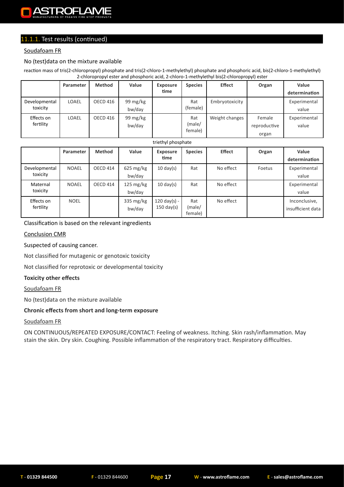#### Soudafoam FR

#### No (test)data on the mixture available

reaction mass of tris(2-chloropropyl) phosphate and tris(2-chloro-1-methylethyl) phosphate and phosphoric acid, bis(2-chloro-1-methylethyl) 2-chloropropyl ester and phosphoric acid, 2-chloro-1-methylethyl bis(2-chloropropyl) ester

|               | Parameter    | <b>Method</b> | Value    | <b>Exposure</b> | <b>Species</b> | <b>Effect</b>  | Organ        | Value         |
|---------------|--------------|---------------|----------|-----------------|----------------|----------------|--------------|---------------|
|               |              |               |          | time            |                |                |              | determination |
| Developmental | <b>LOAEL</b> | OECD 416      | 99 mg/kg |                 | Rat            | Embryotoxicity |              | Experimental  |
| toxicity      |              |               | bw/day   |                 | (female)       |                |              | value         |
| Effects on    | <b>LOAEL</b> | OECD 416      | 99 mg/kg |                 | Rat            | Weight changes | Female       | Experimental  |
| fertility     |              |               | bw/day   |                 | (male/         |                | reproductive | value         |
|               |              |               |          |                 | female)        |                | organ        |               |

#### triethyl phosphate

|                           | Parameter    | <b>Method</b> | Value                            | <b>Exposure</b><br>time                        | <b>Species</b>           | <b>Effect</b> | Organ  | Value<br>determination             |
|---------------------------|--------------|---------------|----------------------------------|------------------------------------------------|--------------------------|---------------|--------|------------------------------------|
| Developmental<br>toxicity | <b>NOAEL</b> | OECD 414      | $625 \,\mathrm{mg/kg}$<br>bw/day | $10 \text{ day(s)}$                            | Rat                      | No effect     | Foetus | Experimental<br>value              |
| Maternal<br>toxicity      | <b>NOAEL</b> | OECD 414      | $125 \text{ mg/kg}$<br>bw/day    | $10 \text{ day(s)}$                            | Rat                      | No effect     |        | Experimental<br>value              |
| Effects on<br>fertility   | <b>NOEL</b>  |               | 335 mg/kg<br>bw/day              | $120 \text{ day(s)} -$<br>$150 \text{ day(s)}$ | Rat<br>(male/<br>female) | No effect     |        | Inconclusive,<br>insufficient data |

#### Classification is based on the relevant ingredients

#### Conclusion CMR

#### Suspected of causing cancer.

Not classified for mutagenic or genotoxic toxicity

Not classified for reprotoxic or developmental toxicity

#### **Toxicity other effects**

#### Soudafoam FR

No (test)data on the mixture available

#### **Chronic effects from short and long-term exposure**

#### Soudafoam FR

ON CONTINUOUS/REPEATED EXPOSURE/CONTACT: Feeling of weakness. Itching. Skin rash/inflammation. May stain the skin. Dry skin. Coughing. Possible inflammation of the respiratory tract. Respiratory difficulties.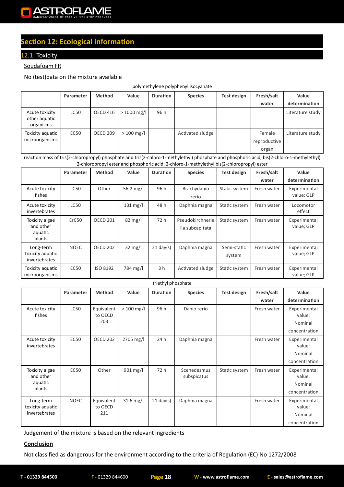

## **Section 12: Ecological information**

#### 12.1. Toxicity

#### Soudafoam FR

No (test)data on the mixture available

polymethylene polyphenyl isocyanate

|                                              | Parameter | Method          | Value        | <b>Duration</b> | <b>Species</b>   | Test design | Fresh/salt                      | Value            |
|----------------------------------------------|-----------|-----------------|--------------|-----------------|------------------|-------------|---------------------------------|------------------|
|                                              |           |                 |              |                 |                  |             | water                           | determination    |
| Acute toxicity<br>other aquatic<br>organisms | LC50      | OECD 416        | $>1000$ mg/l | 96 h            |                  |             |                                 | Literature study |
| Toxicity aquatic<br>microorganisms           | EC50      | <b>OECD 209</b> | $> 100$ mg/l |                 | Activated sludge |             | Female<br>reproductive<br>organ | Literature study |

reaction mass of tris(2-chloropropyl) phosphate and tris(2-chloro-1-methylethyl) phosphate and phosphoric acid, bis(2-chloro-1-methylethyl) 2-chloropropyl ester and phosphoric acid, 2-chloro-1-methylethyl bis(2-chloropropyl) ester

|                                                  | Parameter   | <b>Method</b>   | Value              | <b>Duration</b>     | <b>Species</b>                      | <b>Test design</b>    | Fresh/salt  | Value                      |
|--------------------------------------------------|-------------|-----------------|--------------------|---------------------|-------------------------------------|-----------------------|-------------|----------------------------|
|                                                  |             |                 |                    |                     |                                     |                       | water       | determination              |
| Acute toxicity<br>fishes                         | <b>LC50</b> | Other           | 56.2 mg/l          | 96 h                | Brachydanio<br>rerio                | Static system         | Fresh water | Experimental<br>value; GLP |
| Acute toxicity<br>invertebrates                  | <b>LC50</b> |                 | $131 \text{ mg/l}$ | 48 h                | Daphnia magna                       | Static system         | Fresh water | Locomotor<br>effect        |
| Toxicity algae<br>and other<br>aquatic<br>plants | ErC50       | <b>OECD 201</b> | $82 \text{ mg/l}$  | 72 h                | Pseudokirchnerie<br>lla subcapitata | Static system         | Fresh water | Experimental<br>value; GLP |
| Long-term<br>toxicity aquatic<br>invertebrates   | <b>NOEC</b> | <b>OECD 202</b> | $32 \text{ mg/l}$  | $21 \text{ day(s)}$ | Daphnia magna                       | Semi-static<br>system | Fresh water | Experimental<br>value; GLP |
| Toxicity aquatic<br>microorganisms               | <b>EC50</b> | ISO 8192        | 784 mg/l           | 3 <sub>h</sub>      | Activated sludge                    | Static system         | Fresh water | Experimental<br>value; GLP |

#### triethyl phosphate

|                                        | Parameter   | <b>Method</b>         | Value              | <b>Duration</b> | <b>Species</b>             | <b>Test design</b> | Fresh/salt  | Value                  |
|----------------------------------------|-------------|-----------------------|--------------------|-----------------|----------------------------|--------------------|-------------|------------------------|
|                                        |             |                       |                    |                 |                            |                    | water       | determination          |
| Acute toxicity<br>fishes               | <b>LC50</b> | Equivalent<br>to OECD | $> 100$ mg/l       | 96 h            | Danio rerio                |                    | Fresh water | Experimental<br>value; |
|                                        |             | 203                   |                    |                 |                            |                    |             | Nominal                |
|                                        |             |                       |                    |                 |                            |                    |             | concentration          |
| Acute toxicity<br><i>invertebrates</i> | <b>EC50</b> | <b>OECD 202</b>       | 2705 mg/l          | 24 h            | Daphnia magna              |                    | Fresh water | Experimental<br>value; |
|                                        |             |                       |                    |                 |                            |                    |             | Nominal                |
|                                        |             |                       |                    |                 |                            |                    |             | concentration          |
| Toxicity algae<br>and other            | EC50        | Other                 | $901 \text{ mg/l}$ | 72 h            | Scenedesmus<br>subspicatus | Static system      | Fresh water | Experimental<br>value; |
| aquatic                                |             |                       |                    |                 |                            |                    |             | Nominal                |
| plants                                 |             |                       |                    |                 |                            |                    |             | concentration          |
| Long-term<br>toxicity aquatic          | <b>NOEC</b> | Equivalent<br>to OECD | $31.6$ mg/l        | $21$ day(s)     | Daphnia magna              |                    | Fresh water | Experimental<br>value; |
| invertebrates                          |             | 211                   |                    |                 |                            |                    |             | Nominal                |
|                                        |             |                       |                    |                 |                            |                    |             | concentration          |

Judgement of the mixture is based on the relevant ingredients

#### **Conclusion**

Not classified as dangerous for the environment according to the criteria of Regulation (EC) No 1272/2008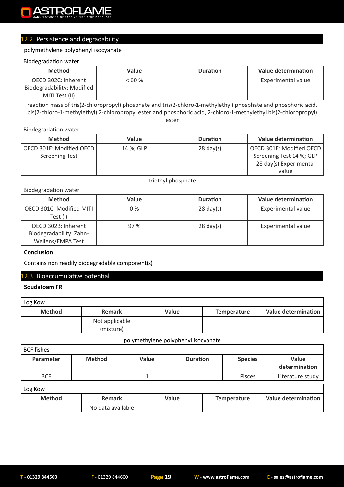## 12.2. Persistence and degradability

#### polymethylene polyphenyl isocyanate

#### Biodegradation water

| <b>Method</b>              | Value | <b>Duration</b> | Value determination |
|----------------------------|-------|-----------------|---------------------|
| OECD 302C: Inherent        | <60%  |                 | Experimental value  |
| Biodegradability: Modified |       |                 |                     |
| MITI Test (II)             |       |                 |                     |

reaction mass of tris(2-chloropropyl) phosphate and tris(2-chloro-1-methylethyl) phosphate and phosphoric acid, bis(2-chloro-1-methylethyl) 2-chloropropyl ester and phosphoric acid, 2-chloro-1-methylethyl bis(2-chloropropyl) ester

Biodegradation water

| <b>Method</b>            | Value     | <b>Duration</b>     | Value determination      |
|--------------------------|-----------|---------------------|--------------------------|
| OECD 301E: Modified OECD | 14 %: GLP | $28 \text{ day(s)}$ | OECD 301E: Modified OECD |
| <b>Screening Test</b>    |           |                     | Screening Test 14 %; GLP |
|                          |           |                     | 28 day(s) Experimental   |
|                          |           |                     | value                    |

triethyl phosphate

Biodegradation water

| <b>Method</b>                                                       | Value | <b>Duration</b>     | <b>Value determination</b> |
|---------------------------------------------------------------------|-------|---------------------|----------------------------|
| OECD 301C: Modified MITI<br>Test (I)                                | 0 %   | $28 \text{ day(s)}$ | Experimental value         |
| OECD 302B: Inherent<br>Biodegradability: Zahn-<br>Wellens/EMPA Test | 97%   | $28 \text{ day(s)}$ | Experimental value         |

#### **Conclusion**

Contains non readily biodegradable component(s)

#### 12.3. Bioaccumulative potential

#### **Soudafoam FR**

| Log Kow       |                             |       |                    |                     |
|---------------|-----------------------------|-------|--------------------|---------------------|
| <b>Method</b> | <b>Remark</b>               | Value | <b>Temperature</b> | Value determination |
|               | Not applicable<br>(mixture) |       |                    |                     |

polymethylene polyphenyl isocyanate

| <b>BCF</b> fishes |               |                   |       |                 |               |                |                  |                            |  |  |  |
|-------------------|---------------|-------------------|-------|-----------------|---------------|----------------|------------------|----------------------------|--|--|--|
| Parameter         | <b>Method</b> |                   | Value | <b>Duration</b> |               | <b>Species</b> |                  | Value<br>determination     |  |  |  |
| <b>BCF</b>        |               |                   |       |                 | <b>Pisces</b> |                | Literature study |                            |  |  |  |
| Log Kow           |               |                   |       |                 |               |                |                  |                            |  |  |  |
| <b>Method</b>     | Remark        |                   |       | Value           |               | Temperature    |                  | <b>Value determination</b> |  |  |  |
|                   |               | No data available |       |                 |               |                |                  |                            |  |  |  |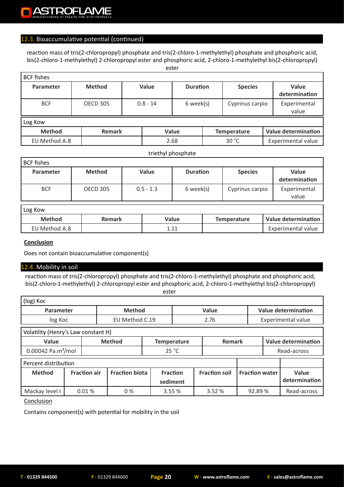#### 12.3. Bioaccumulative potential (continued)

reaction mass of tris(2-chloropropyl) phosphate and tris(2-chloro-1-methylethyl) phosphate and phosphoric acid, bis(2-chloro-1-methylethyl) 2-chloropropyl ester and phosphoric acid, 2-chloro-1-methylethyl bis(2-chloropropyl) ester

| <b>BCF</b> fishes |                 |  |            |                 |  |                    |  |                            |  |  |
|-------------------|-----------------|--|------------|-----------------|--|--------------------|--|----------------------------|--|--|
| Parameter         | <b>Method</b>   |  | Value      | <b>Duration</b> |  | <b>Species</b>     |  | Value<br>determination     |  |  |
| <b>BCF</b>        | <b>OECD 305</b> |  | $0.8 - 14$ | 6 week(s)       |  | Cyprinus carpio    |  | Experimental<br>value      |  |  |
| Log Kow           |                 |  |            |                 |  |                    |  |                            |  |  |
| <b>Method</b>     | Remark          |  |            | Value           |  | <b>Temperature</b> |  | <b>Value determination</b> |  |  |
| EU Method A.8     |                 |  |            | 2.68            |  | 30 °C              |  | <b>Experimental value</b>  |  |  |

#### triethyl phosphate

| <b>BCF fishes</b> |                 |             |                 |                 |                        |  |  |  |  |  |  |
|-------------------|-----------------|-------------|-----------------|-----------------|------------------------|--|--|--|--|--|--|
| Parameter         | <b>Method</b>   | Value       | <b>Duration</b> | <b>Species</b>  | Value<br>determination |  |  |  |  |  |  |
| <b>BCF</b>        | <b>OECD 305</b> | $0.5 - 1.3$ | 6 week(s)       | Cyprinus carpio | Experimental<br>value  |  |  |  |  |  |  |

| Log Kow       |               |       |                    |                     |
|---------------|---------------|-------|--------------------|---------------------|
| <b>Method</b> | <b>Remark</b> | Value | <b>Temperature</b> | Value determination |
| EU Method A.8 |               | 111   |                    | Experimental value  |

#### **Conclusion**

Does not contain bioaccumulative component(s)

#### 12.4. Mobility in soil

reaction mass of tris(2-chloropropyl) phosphate and tris(2-chloro-1-methylethyl) phosphate and phosphoric acid, bis(2-chloro-1-methylethyl) 2-chloropropyl ester and phosphoric acid, 2-chloro-1-methylethyl bis(2-chloropropyl) ester

| (log) Koc                        |                                     |                     |                                                                                    |  |                 |                      |                            |                           |               |  |
|----------------------------------|-------------------------------------|---------------------|------------------------------------------------------------------------------------|--|-----------------|----------------------|----------------------------|---------------------------|---------------|--|
| Parameter                        |                                     | <b>Method</b>       |                                                                                    |  | Value           |                      | <b>Value determination</b> |                           |               |  |
| log Koc                          |                                     |                     | EU Method C.19                                                                     |  |                 | 2.76                 |                            | <b>Experimental value</b> |               |  |
|                                  | Volatility (Henry's Law constant H) |                     |                                                                                    |  |                 |                      |                            |                           |               |  |
| Value                            |                                     |                     | <b>Value determination</b><br><b>Remark</b><br><b>Method</b><br><b>Temperature</b> |  |                 |                      |                            |                           |               |  |
| $0.00042$ Pa.m <sup>3</sup> /mol |                                     |                     | 25 °C                                                                              |  |                 |                      |                            |                           | Read-across   |  |
| Percent distribution             |                                     |                     |                                                                                    |  |                 |                      |                            |                           |               |  |
| <b>Method</b>                    |                                     | <b>Fraction air</b> | <b>Fraction biota</b>                                                              |  | <b>Fraction</b> | <b>Fraction soil</b> | <b>Fraction water</b>      |                           | Value         |  |
|                                  |                                     |                     |                                                                                    |  | sediment        |                      |                            |                           | determination |  |
| Mackay level I                   |                                     | 0.01%               | 0%                                                                                 |  | 3.55 %          | 3.52%                | 92.89%                     |                           | Read-across   |  |

**Conclusion** 

Contains component(s) with potential for mobility in the soil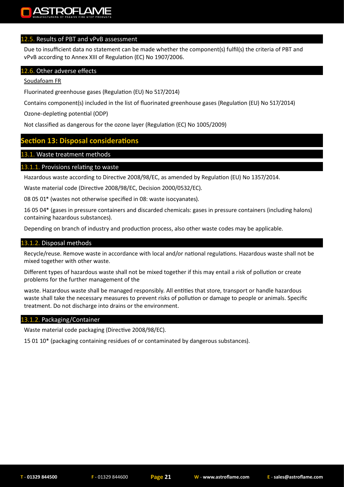#### 12.5. Results of PBT and vPvB assessment

Due to insufficient data no statement can be made whether the component(s) fulfil(s) the criteria of PBT and vPvB according to Annex XIII of Regulation (EC) No 1907/2006.

#### 12.6. Other adverse effects

#### Soudafoam FR

Fluorinated greenhouse gases (Regulation (EU) No 517/2014)

Contains component(s) included in the list of fluorinated greenhouse gases (Regulation (EU) No 517/2014)

Ozone-depleting potential (ODP)

Not classified as dangerous for the ozone layer (Regulation (EC) No 1005/2009)

#### **Section 13: Disposal considerations**

#### 13.1. Waste treatment methods

#### 13.1.1. Provisions relating to waste

Hazardous waste according to Directive 2008/98/EC, as amended by Regulation (EU) No 1357/2014.

Waste material code (Directive 2008/98/EC, Decision 2000/0532/EC).

08 05 01\* (wastes not otherwise specified in 08: waste isocyanates).

16 05 04\* (gases in pressure containers and discarded chemicals: gases in pressure containers (including halons) containing hazardous substances).

Depending on branch of industry and production process, also other waste codes may be applicable.

#### 13.1.2. Disposal methods

Recycle/reuse. Remove waste in accordance with local and/or national regulations. Hazardous waste shall not be mixed together with other waste.

Different types of hazardous waste shall not be mixed together if this may entail a risk of pollution or create problems for the further management of the

waste. Hazardous waste shall be managed responsibly. All entities that store, transport or handle hazardous waste shall take the necessary measures to prevent risks of pollution or damage to people or animals. Specific treatment. Do not discharge into drains or the environment.

#### 13.1.2. Packaging/Container

Waste material code packaging (Directive 2008/98/EC).

15 01 10\* (packaging containing residues of or contaminated by dangerous substances).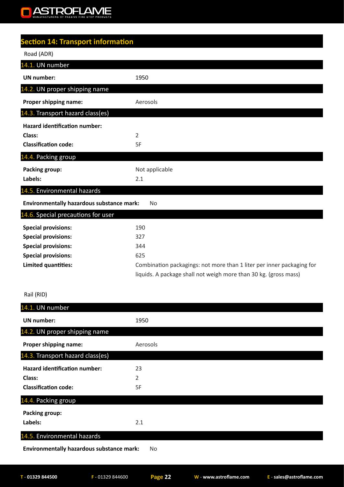#### ASTROFLAME  $\blacksquare$

| <b>Section 14: Transport information</b>         |                                                                       |
|--------------------------------------------------|-----------------------------------------------------------------------|
| Road (ADR)                                       |                                                                       |
| 14.1. UN number                                  |                                                                       |
| <b>UN</b> number:                                | 1950                                                                  |
| 14.2. UN proper shipping name                    |                                                                       |
| Proper shipping name:                            | Aerosols                                                              |
| 14.3. Transport hazard class(es)                 |                                                                       |
| <b>Hazard identification number:</b>             |                                                                       |
| Class:                                           | 2                                                                     |
| <b>Classification code:</b>                      | 5F                                                                    |
| 14.4. Packing group                              |                                                                       |
| <b>Packing group:</b>                            | Not applicable                                                        |
| Labels:                                          | 2.1                                                                   |
| 14.5. Environmental hazards                      |                                                                       |
| <b>Environmentally hazardous substance mark:</b> | No                                                                    |
| 14.6. Special precautions for user               |                                                                       |
| <b>Special provisions:</b>                       | 190                                                                   |
| <b>Special provisions:</b>                       | 327                                                                   |
| <b>Special provisions:</b>                       | 344                                                                   |
| <b>Special provisions:</b>                       | 625                                                                   |
| <b>Limited quantities:</b>                       | Combination packagings: not more than 1 liter per inner packaging for |

#### Rail (RID)

liquids. A package shall not weigh more than 30 kg. (gross mass)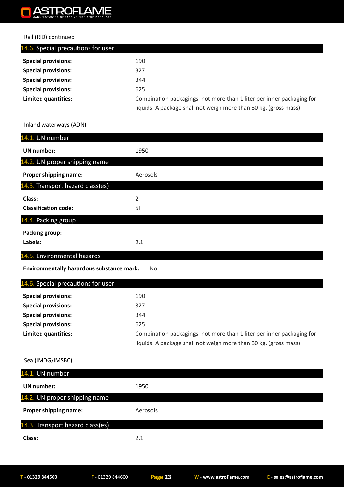#### ASTROFLAME O

#### Rail (RID) continued

| 190                                                                   |
|-----------------------------------------------------------------------|
| 327                                                                   |
| 344                                                                   |
| 625                                                                   |
| Combination packagings: not more than 1 liter per inner packaging for |
| liquids. A package shall not weigh more than 30 kg. (gross mass)      |
|                                                                       |

#### Inland waterways (ADN)

| 14.1. UN number                                  |                                                                       |
|--------------------------------------------------|-----------------------------------------------------------------------|
| <b>UN number:</b>                                | 1950                                                                  |
| 14.2. UN proper shipping name                    |                                                                       |
| Proper shipping name:                            | Aerosols                                                              |
| 14.3. Transport hazard class(es)                 |                                                                       |
| Class:                                           | $\overline{2}$                                                        |
| <b>Classification code:</b>                      | 5F                                                                    |
| 14.4. Packing group                              |                                                                       |
| <b>Packing group:</b>                            |                                                                       |
| Labels:                                          | 2.1                                                                   |
| 14.5. Environmental hazards                      |                                                                       |
| <b>Environmentally hazardous substance mark:</b> | No                                                                    |
| 14.6. Special precautions for user               |                                                                       |
| <b>Special provisions:</b>                       | 190                                                                   |
| <b>Special provisions:</b>                       | 327                                                                   |
| <b>Special provisions:</b>                       | 344                                                                   |
| <b>Special provisions:</b>                       | 625                                                                   |
| Limited quantities:                              | Combination packagings: not more than 1 liter per inner packaging for |
|                                                  | liquids. A package shall not weigh more than 30 kg. (gross mass)      |
| Sea (IMDG/IMSBC)                                 |                                                                       |
| 14.1. UN number                                  |                                                                       |
|                                                  |                                                                       |
| <b>UN number:</b>                                | 1950                                                                  |

| <b>Proper shipping name:</b>     | Aerosols |
|----------------------------------|----------|
| 14.3. Transport hazard class(es) |          |
| Class:                           | ว 1      |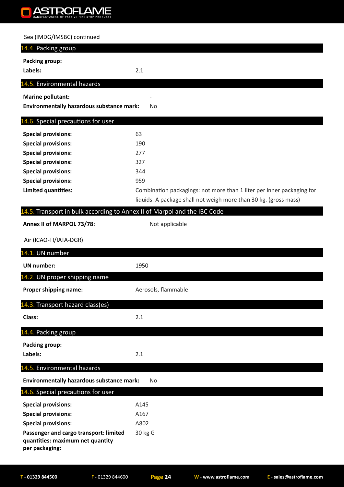#### **ASTROFLAME**  $\Box$

#### Sea (IMDG/IMSBC) continued

| 14.4. Packing group                                                                          |                                                                                                                                           |
|----------------------------------------------------------------------------------------------|-------------------------------------------------------------------------------------------------------------------------------------------|
| <b>Packing group:</b>                                                                        |                                                                                                                                           |
| Labels:                                                                                      | 2.1                                                                                                                                       |
| 14.5. Environmental hazards                                                                  |                                                                                                                                           |
| <b>Marine pollutant:</b>                                                                     |                                                                                                                                           |
| <b>Environmentally hazardous substance mark:</b>                                             | No                                                                                                                                        |
| 14.6. Special precautions for user                                                           |                                                                                                                                           |
| <b>Special provisions:</b>                                                                   | 63                                                                                                                                        |
| <b>Special provisions:</b>                                                                   | 190                                                                                                                                       |
| <b>Special provisions:</b>                                                                   | 277                                                                                                                                       |
| <b>Special provisions:</b>                                                                   | 327                                                                                                                                       |
| <b>Special provisions:</b>                                                                   | 344                                                                                                                                       |
| <b>Special provisions:</b>                                                                   | 959                                                                                                                                       |
| Limited quantities:                                                                          | Combination packagings: not more than 1 liter per inner packaging for<br>liquids. A package shall not weigh more than 30 kg. (gross mass) |
| 14.5. Transport in bulk according to Annex II of Marpol and the IBC Code                     |                                                                                                                                           |
| Annex II of MARPOL 73/78:                                                                    | Not applicable                                                                                                                            |
|                                                                                              |                                                                                                                                           |
| Air (ICAO-TI/IATA-DGR)                                                                       |                                                                                                                                           |
| 14.1. UN number                                                                              |                                                                                                                                           |
| <b>UN number:</b>                                                                            | 1950                                                                                                                                      |
| 14.2. UN proper shipping name                                                                |                                                                                                                                           |
| Proper shipping name:                                                                        | Aerosols, flammable                                                                                                                       |
| 14.3. Transport hazard class(es)                                                             |                                                                                                                                           |
| Class:                                                                                       | 2.1                                                                                                                                       |
| 14.4. Packing group                                                                          |                                                                                                                                           |
| Packing group:                                                                               |                                                                                                                                           |
| Labels:                                                                                      | 2.1                                                                                                                                       |
| 14.5. Environmental hazards                                                                  |                                                                                                                                           |
| <b>Environmentally hazardous substance mark:</b>                                             | No                                                                                                                                        |
| 14.6. Special precautions for user                                                           |                                                                                                                                           |
| <b>Special provisions:</b>                                                                   | A145                                                                                                                                      |
| <b>Special provisions:</b>                                                                   | A167                                                                                                                                      |
| <b>Special provisions:</b>                                                                   | A802                                                                                                                                      |
| Passenger and cargo transport: limited<br>quantities: maximum net quantity<br>per packaging: | 30 kg G                                                                                                                                   |
|                                                                                              |                                                                                                                                           |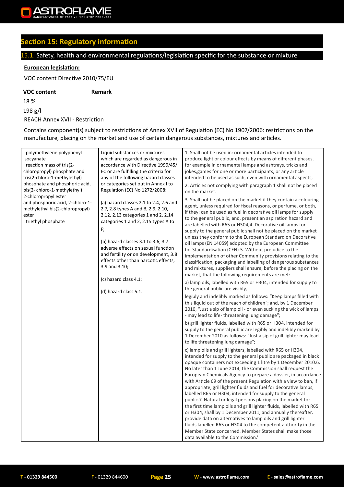

## **Section 15: Regulatory information**

## 15.1. Safety, health and environmental regulations/legislation specific for the substance or mixture

#### **European legislation:**

VOC content Directive 2010/75/EU

#### **VOC content Remark**

18 % 198 g/l REACH Annex XVII - Restriction

Contains component(s) subject to restrictions of Annex XVII of Regulation (EC) No 1907/2006: restrictions on the manufacture, placing on the market and use of certain dangerous substances, mixtures and articles.

| · polymethylene polyphenyl<br>isocyanate<br>· reaction mass of tris(2-<br>chloropropyl) phosphate and<br>tris(2-chloro-1-methylethyl)<br>phosphate and phosphoric acid,<br>bis(2-chloro-1-methylethyl)<br>2-chloropropyl ester | Liquid substances or mixtures<br>which are regarded as dangerous in<br>accordance with Directive 1999/45/<br>EC or are fulfilling the criteria for<br>any of the following hazard classes<br>or categories set out in Annex I to<br>Regulation (EC) No 1272/2008:                                                                                                                               | 1. Shall not be used in: ornamental articles intended to<br>produce light or colour effects by means of different phases,<br>for example in ornamental lamps and ashtrays, tricks and<br>jokes, games for one or more participants, or any article<br>intended to be used as such, even with ornamental aspects,<br>2. Articles not complying with paragraph 1 shall not be placed<br>on the market.                                                                                                                                                                                                                                                                                                                                                                                                                                                                                                                                                                                                                                                                                                                                                                                                                                                                                                                                                                                                                                                                                                                                                                                                                                                                                                                                                                                                                                                                                                                                                                                                                                                                                                                                                                                                                                                                                                                                                                                                                                             |
|--------------------------------------------------------------------------------------------------------------------------------------------------------------------------------------------------------------------------------|-------------------------------------------------------------------------------------------------------------------------------------------------------------------------------------------------------------------------------------------------------------------------------------------------------------------------------------------------------------------------------------------------|--------------------------------------------------------------------------------------------------------------------------------------------------------------------------------------------------------------------------------------------------------------------------------------------------------------------------------------------------------------------------------------------------------------------------------------------------------------------------------------------------------------------------------------------------------------------------------------------------------------------------------------------------------------------------------------------------------------------------------------------------------------------------------------------------------------------------------------------------------------------------------------------------------------------------------------------------------------------------------------------------------------------------------------------------------------------------------------------------------------------------------------------------------------------------------------------------------------------------------------------------------------------------------------------------------------------------------------------------------------------------------------------------------------------------------------------------------------------------------------------------------------------------------------------------------------------------------------------------------------------------------------------------------------------------------------------------------------------------------------------------------------------------------------------------------------------------------------------------------------------------------------------------------------------------------------------------------------------------------------------------------------------------------------------------------------------------------------------------------------------------------------------------------------------------------------------------------------------------------------------------------------------------------------------------------------------------------------------------------------------------------------------------------------------------------------------------|
| and phosphoric acid, 2-chloro-1-<br>methylethyl bis(2-chloropropyl)<br>ester<br>triethyl phosphate                                                                                                                             | (a) hazard classes 2.1 to 2.4, 2.6 and<br>2.7, 2.8 types A and B, 2.9, 2.10,<br>2.12, 2.13 categories 1 and 2, 2.14<br>categories 1 and 2, 2.15 types A to<br>F;<br>(b) hazard classes 3.1 to 3.6, 3.7<br>adverse effects on sexual function<br>and fertility or on development, 3.8<br>effects other than narcotic effects,<br>3.9 and 3.10;<br>(c) hazard class 4.1;<br>(d) hazard class 5.1. | 3. Shall not be placed on the market if they contain a colouring<br>agent, unless required for fiscal reasons, or perfume, or both,<br>if they: can be used as fuel in decorative oil lamps for supply<br>to the general public, and, present an aspiration hazard and<br>are labelled with R65 or H304,4. Decorative oil lamps for<br>supply to the general public shall not be placed on the market<br>unless they conform to the European Standard on Decorative<br>oil lamps (EN 14059) adopted by the European Committee<br>for Standardisation (CEN).5. Without prejudice to the<br>implementation of other Community provisions relating to the<br>classification, packaging and labelling of dangerous substances<br>and mixtures, suppliers shall ensure, before the placing on the<br>market, that the following requirements are met:<br>a) lamp oils, labelled with R65 or H304, intended for supply to<br>the general public are visibly,<br>legibly and indelibly marked as follows: "Keep lamps filled with<br>this liquid out of the reach of children"; and, by 1 December<br>2010, "Just a sip of lamp oil - or even sucking the wick of lamps<br>- may lead to life-threatening lung damage";<br>b) grill lighter fluids, labelled with R65 or H304, intended for<br>supply to the general public are legibly and indelibly marked by<br>1 December 2010 as follows: "Just a sip of grill lighter may lead<br>to life threatening lung damage";<br>c) lamp oils and grill lighters, labelled with R65 or H304,<br>intended for supply to the general public are packaged in black<br>opaque containers not exceeding 1 litre by 1 December 2010.6.<br>No later than 1 June 2014, the Commission shall request the<br>European Chemicals Agency to prepare a dossier, in accordance<br>with Article 69 of the present Regulation with a view to ban, if<br>appropriate, grill lighter fluids and fuel for decorative lamps,<br>labelled R65 or H304, intended for supply to the general<br>public.7. Natural or legal persons placing on the market for<br>the first time lamp oils and grill lighter fluids, labelled with R65<br>or H304, shall by 1 December 2011, and annually thereafter,<br>provide data on alternatives to lamp oils and grill lighter<br>fluids labelled R65 or H304 to the competent authority in the<br>Member State concerned. Member States shall make those<br>data available to the Commission.' |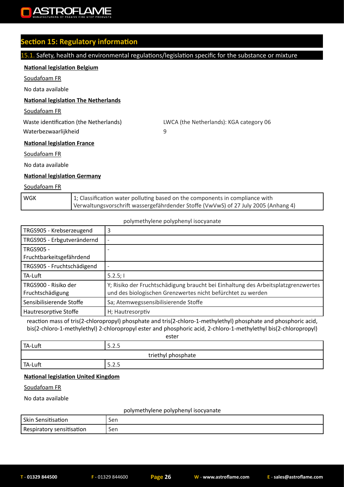

## **Section 15: Regulatory information**

#### 15.1. Safety, health and environmental regulations/legislation specific for the substance or mixture

#### **National legislation Belgium**

Soudafoam FR

No data available

#### **National legislation The Netherlands**

Soudafoam FR

Waterbezwaarlijkheid 9

Waste identification (the Netherlands) LWCA (the Netherlands): KGA category 06

**National legislation France**

Soudafoam FR

No data available

#### **National legislation Germany**

#### Soudafoam FR

| l wgk | 1; Classification water polluting based on the components in compliance with       |
|-------|------------------------------------------------------------------------------------|
|       | Verwaltungsvorschrift wassergefährdender Stoffe (VwVwS) of 27 July 2005 (Anhang 4) |

#### polymethylene polyphenyl isocyanate

| TRGS905 - Krebserzeugend                     | 3                                                                                                                                                |
|----------------------------------------------|--------------------------------------------------------------------------------------------------------------------------------------------------|
| TRGS905 - Erbgutverändernd                   |                                                                                                                                                  |
| <b>TRGS905 -</b><br>Fruchtbarkeitsgefährdend |                                                                                                                                                  |
| TRGS905 - Fruchtschädigend                   |                                                                                                                                                  |
| TA-Luft                                      | 5.2.5;                                                                                                                                           |
| TRGS900 - Risiko der<br>Fruchtschädigung     | Y; Risiko der Fruchtschädigung braucht bei Einhaltung des Arbeitsplatzgrenzwertes<br>und des biologischen Grenzwertes nicht befürchtet zu werden |
| Sensibilisierende Stoffe                     | Sa; Atemwegssensibilisierende Stoffe                                                                                                             |
| Hautresorptive Stoffe                        | H; Hautresorptiv                                                                                                                                 |

reaction mass of tris(2-chloropropyl) phosphate and tris(2-chloro-1-methylethyl) phosphate and phosphoric acid, bis(2-chloro-1-methylethyl) 2-chloropropyl ester and phosphoric acid, 2-chloro-1-methylethyl bis(2-chloropropyl)

ester

| TA-Luft | $\cap$ $\cap$<br>5.Z.5      |
|---------|-----------------------------|
|         | triethyl phosphate          |
| TA-Luft | -<br>$\mathcal{L}$<br>5.Z.5 |

#### **National legislation United Kingdom**

Soudafoam FR

No data available

#### polymethylene polyphenyl isocyanate

| Skin Sensitisation        | Sen |
|---------------------------|-----|
| Respiratory sensitisation | Sen |